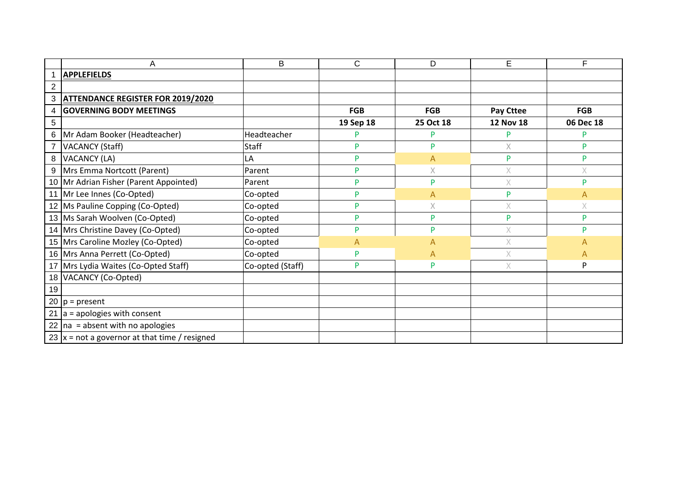|                | Α                                                | B                | C         | D            | E                | F          |
|----------------|--------------------------------------------------|------------------|-----------|--------------|------------------|------------|
|                | <b>APPLEFIELDS</b>                               |                  |           |              |                  |            |
| 2              |                                                  |                  |           |              |                  |            |
| 3              | <b>ATTENDANCE REGISTER FOR 2019/2020</b>         |                  |           |              |                  |            |
| $\overline{4}$ | <b>GOVERNING BODY MEETINGS</b>                   |                  | FGB       | <b>FGB</b>   | <b>Pay Cttee</b> | <b>FGB</b> |
| 5              |                                                  |                  | 19 Sep 18 | 25 Oct 18    | <b>12 Nov 18</b> | 06 Dec 18  |
| 6              | Mr Adam Booker (Headteacher)                     | Headteacher      | D         | P            | P                | P          |
|                | <b>VACANCY (Staff)</b>                           | <b>Staff</b>     | P         | P            | X                | Þ          |
| 8              | VACANCY (LA)                                     | LA               | P         | A            | P                | P          |
|                | 9   Mrs Emma Nortcott (Parent)                   | Parent           | P         | X            | X                | X          |
|                | 10 Mr Adrian Fisher (Parent Appointed)           | Parent           | P         | P            | $\chi$           | D          |
|                | 11 Mr Lee Innes (Co-Opted)                       | Co-opted         | P         | A            | P                | А          |
|                | 12 Ms Pauline Copping (Co-Opted)                 | Co-opted         | P         | $\mathsf X$  | $\times$         | X          |
|                | 13 Ms Sarah Woolven (Co-Opted)                   | Co-opted         | P         | P            | P                | <b>P</b>   |
|                | 14 Mrs Christine Davey (Co-Opted)                | Co-opted         | P         | P            | $\mathsf{X}$     | D          |
|                | 15 Mrs Caroline Mozley (Co-Opted)                | Co-opted         | A         | A            | X.               | А          |
|                | 16 Mrs Anna Perrett (Co-Opted)                   | Co-opted         | P         | $\mathsf{A}$ | $\times$         | А          |
|                | 17 Mrs Lydia Waites (Co-Opted Staff)             | Co-opted (Staff) | P         | P            | X.               | P          |
|                | 18 VACANCY (Co-Opted)                            |                  |           |              |                  |            |
| 19             |                                                  |                  |           |              |                  |            |
|                | 20 $p = present$                                 |                  |           |              |                  |            |
| 21             | $a =$ apologies with consent                     |                  |           |              |                  |            |
|                | 22 $\ln a$ = absent with no apologies            |                  |           |              |                  |            |
|                | 23 $ x$ = not a governor at that time / resigned |                  |           |              |                  |            |